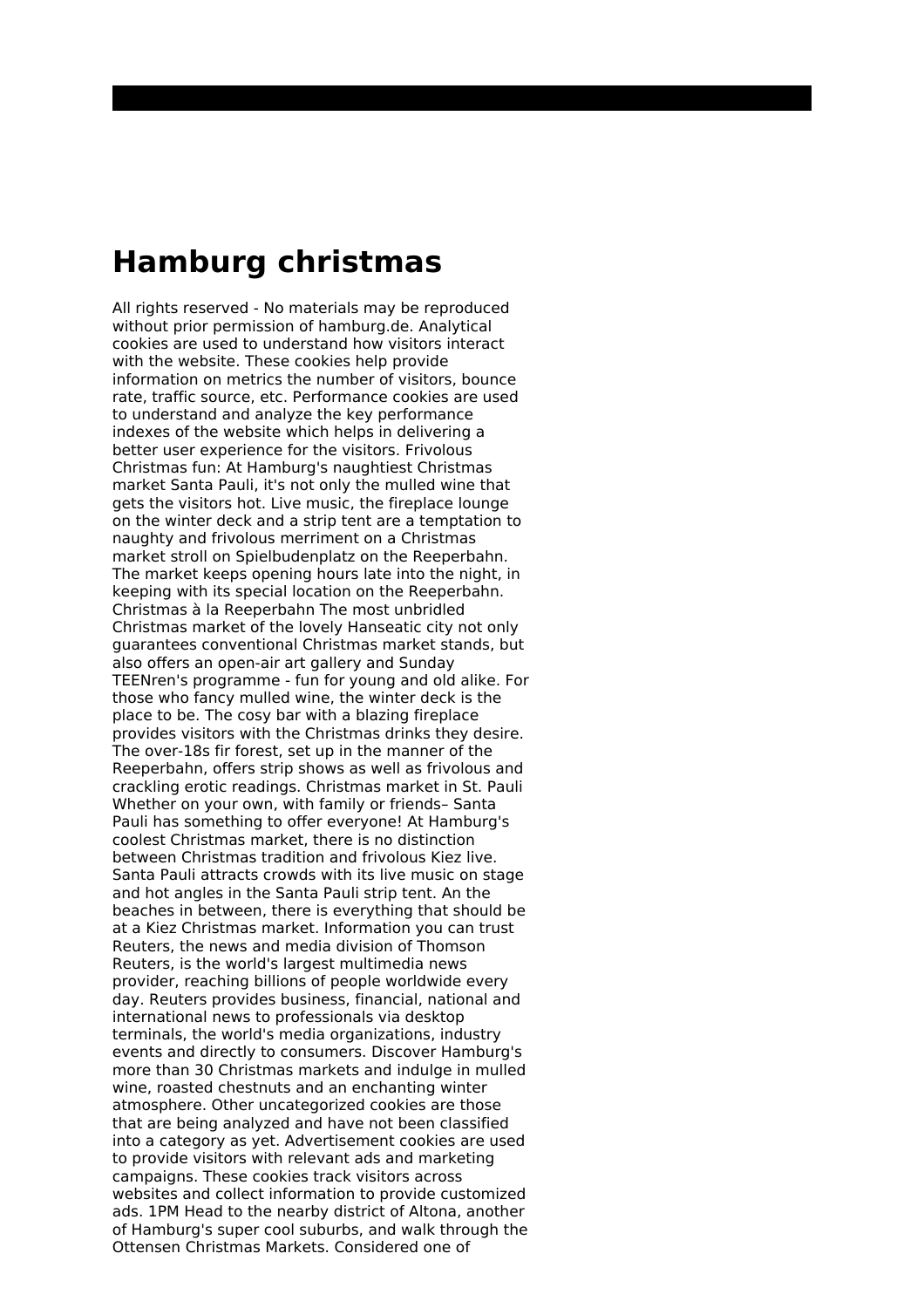## **Hamburg christmas**

All rights reserved - No materials may be reproduced without prior permission of hamburg.de. Analytical cookies are used to understand how visitors interact with the website. These cookies help provide information on metrics the number of visitors, bounce rate, traffic source, etc. Performance cookies are used to understand and analyze the key performance indexes of the website which helps in delivering a better user experience for the visitors. Frivolous Christmas fun: At Hamburg's naughtiest Christmas market Santa Pauli, it's not only the mulled wine that gets the visitors hot. Live music, the fireplace lounge on the winter deck and a strip tent are a temptation to naughty and frivolous merriment on a Christmas market stroll on Spielbudenplatz on the Reeperbahn. The market keeps opening hours late into the night, in keeping with its special location on the Reeperbahn. Christmas à la Reeperbahn The most unbridled Christmas market of the lovely Hanseatic city not only guarantees conventional Christmas market stands, but also offers an open-air art gallery and Sunday TEENren's programme - fun for young and old alike. For those who fancy mulled wine, the winter deck is the place to be. The cosy bar with a blazing fireplace provides visitors with the Christmas drinks they desire. The over-18s fir forest, set up in the manner of the Reeperbahn, offers strip shows as well as frivolous and crackling erotic readings. Christmas market in St. Pauli Whether on your own, with family or friends– Santa Pauli has something to offer everyone! At Hamburg's coolest Christmas market, there is no distinction between Christmas tradition and frivolous Kiez live. Santa Pauli attracts crowds with its live music on stage and hot angles in the Santa Pauli strip tent. An the beaches in between, there is everything that should be at a Kiez Christmas market. Information you can trust Reuters, the news and media division of Thomson Reuters, is the world's largest multimedia news provider, reaching billions of people worldwide every day. Reuters provides business, financial, national and international news to professionals via desktop terminals, the world's media organizations, industry events and directly to consumers. Discover Hamburg's more than 30 Christmas markets and indulge in mulled wine, roasted chestnuts and an enchanting winter atmosphere. Other uncategorized cookies are those that are being analyzed and have not been classified into a category as yet. Advertisement cookies are used to provide visitors with relevant ads and marketing campaigns. These cookies track visitors across websites and collect information to provide customized ads. 1PM Head to the nearby district of Altona, another of Hamburg's super cool suburbs, and walk through the Ottensen Christmas Markets. Considered one of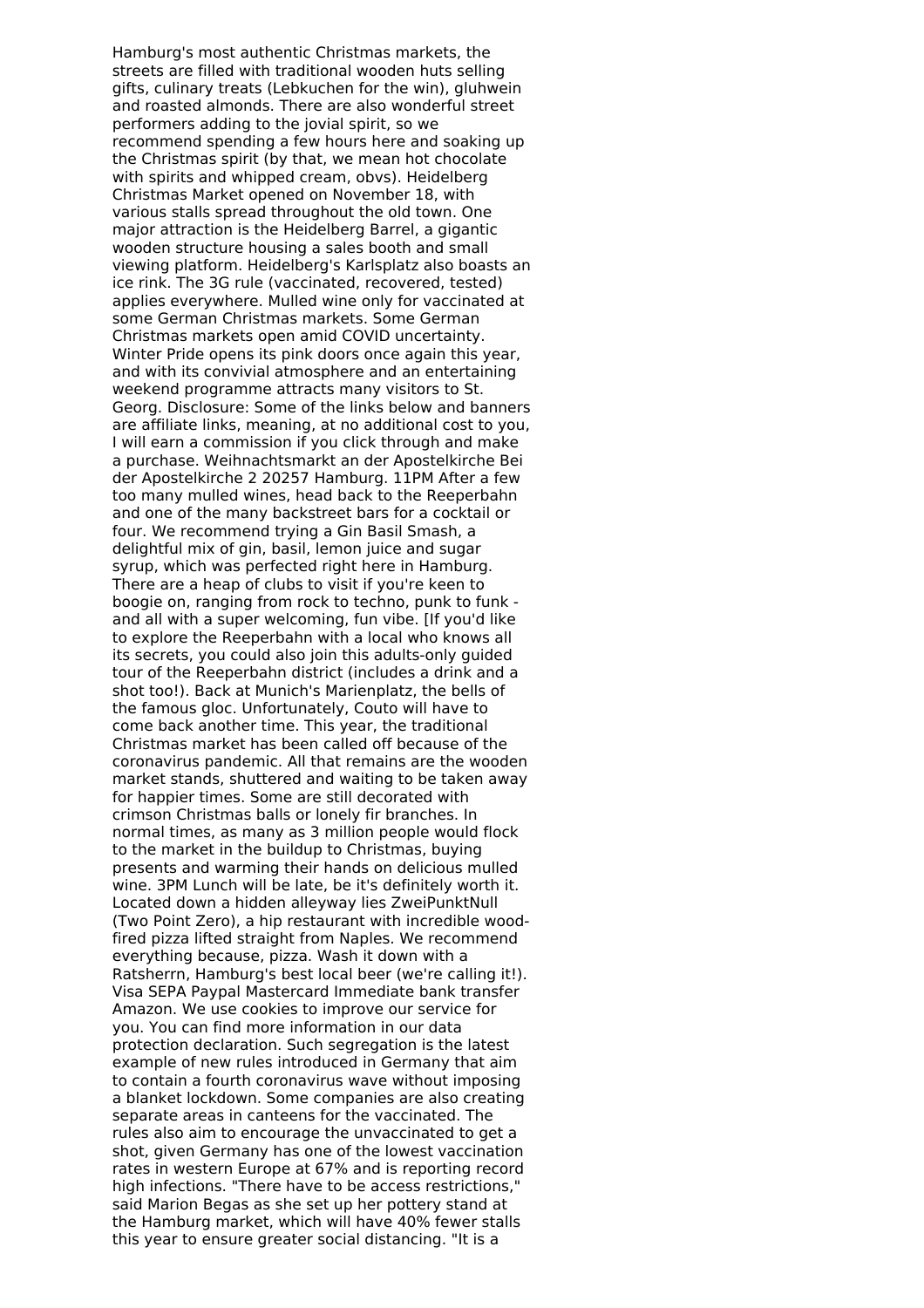Hamburg's most authentic Christmas markets, the streets are filled with traditional wooden huts selling gifts, culinary treats (Lebkuchen for the win), gluhwein and roasted almonds. There are also wonderful street performers adding to the jovial spirit, so we recommend spending a few hours here and soaking up the Christmas spirit (by that, we mean hot chocolate with spirits and whipped cream, obvs). Heidelberg Christmas Market opened on November 18, with various stalls spread throughout the old town. One major attraction is the Heidelberg Barrel, a gigantic wooden structure housing a sales booth and small viewing platform. Heidelberg's Karlsplatz also boasts an ice rink. The 3G rule (vaccinated, recovered, tested) applies everywhere. Mulled wine only for vaccinated at some German Christmas markets. Some German Christmas markets open amid COVID uncertainty. Winter Pride opens its pink doors once again this year, and with its convivial atmosphere and an entertaining weekend programme attracts many visitors to St. Georg. Disclosure: Some of the links below and banners are affiliate links, meaning, at no additional cost to you, I will earn a commission if you click through and make a purchase. Weihnachtsmarkt an der Apostelkirche Bei der Apostelkirche 2 20257 Hamburg. 11PM After a few too many mulled wines, head back to the Reeperbahn and one of the many backstreet bars for a cocktail or four. We recommend trying a Gin Basil Smash, a delightful mix of gin, basil, lemon juice and sugar syrup, which was perfected right here in Hamburg. There are a heap of clubs to visit if you're keen to boogie on, ranging from rock to techno, punk to funk and all with a super welcoming, fun vibe. [If you'd like to explore the Reeperbahn with a local who knows all its secrets, you could also join this adults-only guided tour of the Reeperbahn district (includes a drink and a shot too!). Back at Munich's Marienplatz, the bells of the famous gloc. Unfortunately, Couto will have to come back another time. This year, the traditional Christmas market has been called off because of the coronavirus pandemic. All that remains are the wooden market stands, shuttered and waiting to be taken away for happier times. Some are still decorated with crimson Christmas balls or lonely fir branches. In normal times, as many as 3 million people would flock to the market in the buildup to Christmas, buying presents and warming their hands on delicious mulled wine. 3PM Lunch will be late, be it's definitely worth it. Located down a hidden alleyway lies ZweiPunktNull (Two Point Zero), a hip restaurant with incredible woodfired pizza lifted straight from Naples. We recommend everything because, pizza. Wash it down with a Ratsherrn, Hamburg's best local beer (we're calling it!). Visa SEPA Paypal Mastercard Immediate bank transfer Amazon. We use cookies to improve our service for you. You can find more information in our data protection declaration. Such segregation is the latest example of new rules introduced in Germany that aim to contain a fourth coronavirus wave without imposing a blanket lockdown. Some companies are also creating separate areas in canteens for the vaccinated. The rules also aim to encourage the unvaccinated to get a shot, given Germany has one of the lowest vaccination rates in western Europe at 67% and is reporting record high infections. "There have to be access restrictions," said Marion Begas as she set up her pottery stand at the Hamburg market, which will have 40% fewer stalls this year to ensure greater social distancing. "It is a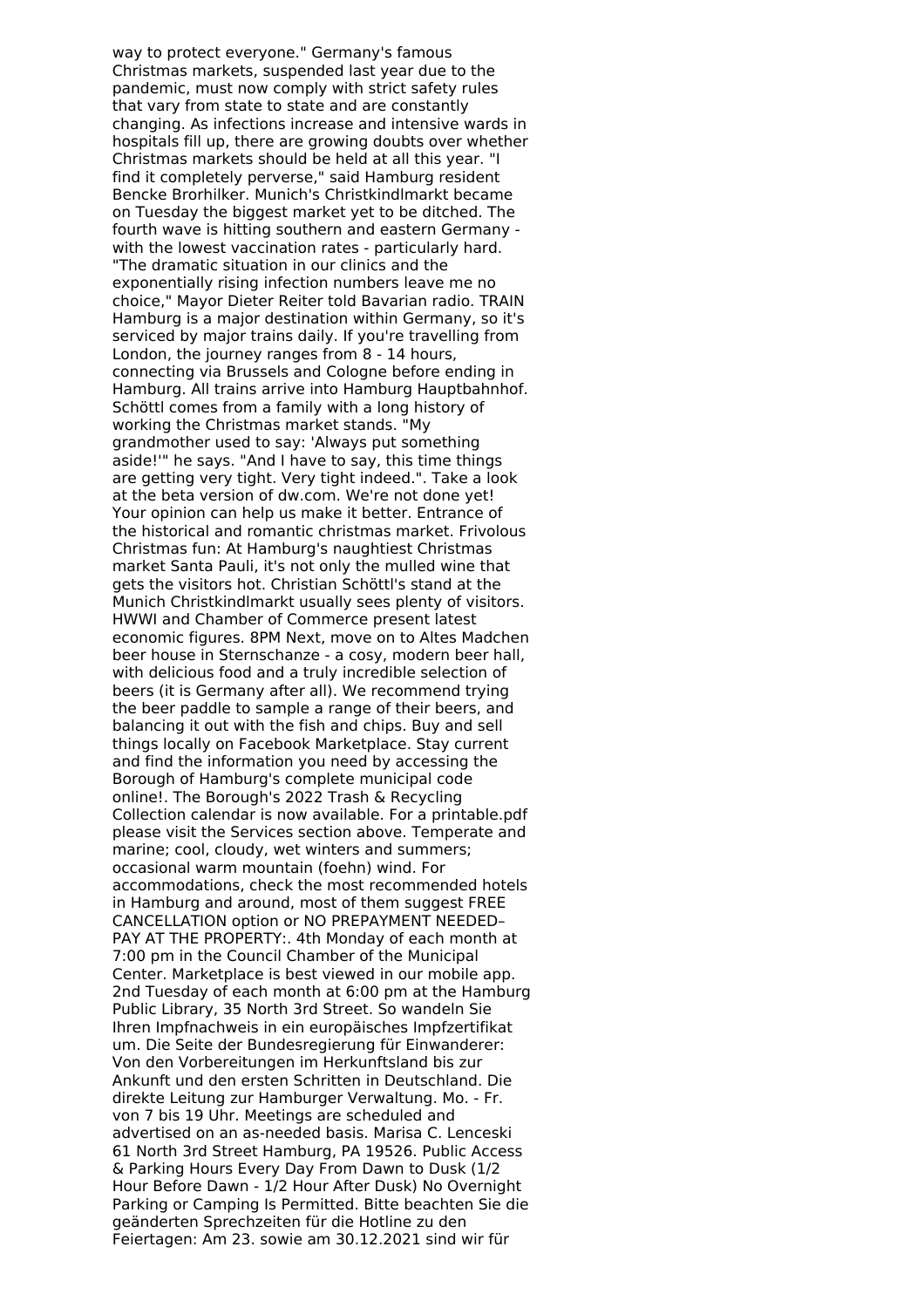way to protect everyone." Germany's famous Christmas markets, suspended last year due to the pandemic, must now comply with strict safety rules that vary from state to state and are constantly changing. As infections increase and intensive wards in hospitals fill up, there are growing doubts over whether Christmas markets should be held at all this year. "I find it completely perverse," said Hamburg resident Bencke Brorhilker. Munich's Christkindlmarkt became on Tuesday the biggest market yet to be ditched. The fourth wave is hitting southern and eastern Germany with the lowest vaccination rates - particularly hard. "The dramatic situation in our clinics and the exponentially rising infection numbers leave me no choice," Mayor Dieter Reiter told Bavarian radio. TRAIN Hamburg is a major destination within Germany, so it's serviced by major trains daily. If you're travelling from London, the journey ranges from 8 - 14 hours, connecting via Brussels and Cologne before ending in Hamburg. All trains arrive into Hamburg Hauptbahnhof. Schöttl comes from a family with a long history of working the Christmas market stands. "My grandmother used to say: 'Always put something aside!'" he says. "And I have to say, this time things are getting very tight. Very tight indeed.". Take a look at the beta version of dw.com. We're not done yet! Your opinion can help us make it better. Entrance of the historical and romantic christmas market. Frivolous Christmas fun: At Hamburg's naughtiest Christmas market Santa Pauli, it's not only the mulled wine that gets the visitors hot. Christian Schöttl's stand at the Munich Christkindlmarkt usually sees plenty of visitors. HWWI and Chamber of Commerce present latest economic figures. 8PM Next, move on to Altes Madchen beer house in Sternschanze - a cosy, modern beer hall, with delicious food and a truly incredible selection of beers (it is Germany after all). We recommend trying the beer paddle to sample a range of their beers, and balancing it out with the fish and chips. Buy and sell things locally on Facebook Marketplace. Stay current and find the information you need by accessing the Borough of Hamburg's complete municipal code online!. The Borough's 2022 Trash & Recycling Collection calendar is now available. For a printable.pdf please visit the Services section above. Temperate and marine; cool, cloudy, wet winters and summers; occasional warm mountain (foehn) wind. For accommodations, check the most recommended hotels in Hamburg and around, most of them suggest FREE CANCELLATION option or NO PREPAYMENT NEEDED– PAY AT THE PROPERTY:. 4th Monday of each month at 7:00 pm in the Council Chamber of the Municipal Center. Marketplace is best viewed in our mobile app. 2nd Tuesday of each month at 6:00 pm at the Hamburg Public Library, 35 North 3rd Street. So wandeln Sie Ihren Impfnachweis in ein europäisches Impfzertifikat um. Die Seite der Bundesregierung für Einwanderer: Von den Vorbereitungen im Herkunftsland bis zur Ankunft und den ersten Schritten in Deutschland. Die direkte Leitung zur Hamburger Verwaltung. Mo. - Fr. von 7 bis 19 Uhr. Meetings are scheduled and advertised on an as‑needed basis. Marisa C. Lenceski 61 North 3rd Street Hamburg, PA 19526. Public Access & Parking Hours Every Day From Dawn to Dusk (1/2 Hour Before Dawn - 1/2 Hour After Dusk) No Overnight Parking or Camping Is Permitted. Bitte beachten Sie die geänderten Sprechzeiten für die Hotline zu den Feiertagen: Am 23. sowie am 30.12.2021 sind wir für